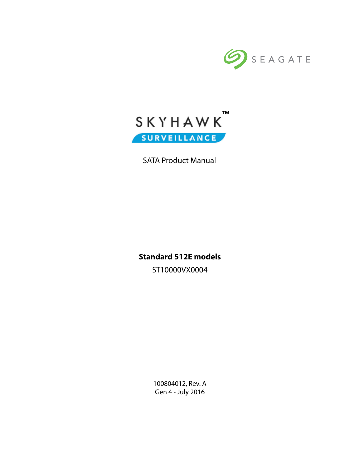



SATA Product Manual

**Standard 512E models**

ST10000VX0004

100804012, Rev. A Gen 4 - July 2016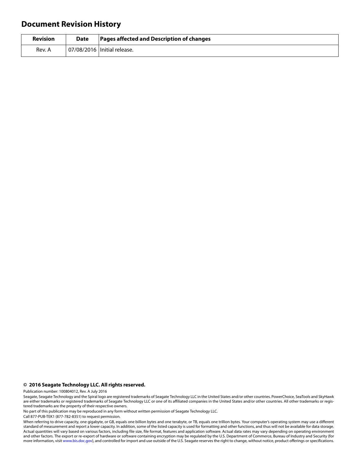## **Document Revision History**

| <b>Revision</b> | <b>Date</b> | Pages affected and Description of changes |
|-----------------|-------------|-------------------------------------------|
| Rev. A          |             | 07/08/2016 Initial release.               |

#### **© 2016 Seagate Technology LLC. All rights reserved.**

Publication number: 100804012, Rev. A July 2016

No part of this publication may be reproduced in any form without written permission of Seagate Technology LLC.

Call 877-PUB-TEK1 (877-782-8351) to request permission.

When referring to drive capacity, one gigabyte, or GB, equals one billion bytes and one terabyte, or TB, equals one trillion bytes. Your computer's operating system may use a different standard of measurement and report a lower capacity. In addition, some of the listed capacity is used for formatting and other functions, and thus will not be available for data storage. Actual quantities will vary based on various factors, including file size, file format, features and application software. Actual data rates may vary depending on operating environment and other factors. The export or re-export of hardware or software containing encryption may be regulated by the U.S. Department of Commerce, Bureau of Industry and Security (for more information, visit [www.bis.doc.gov\)](http://www.bis.doc.gov), and controlled for import and use outside of the U.S. Seagate reserves the right to change, without notice, product offerings or specifications.

Seagate, Seagate Technology and the Spiral logo are registered trademarks of Seagate Technology LLC in the United States and/or other countries. PowerChoice, SeaTools and SkyHawk are either trademarks or registered trademarks of Seagate Technology LLC or one of its affiliated companies in the United States and/or other countries. All other trademarks or registered trademarks are the property of their respective owners.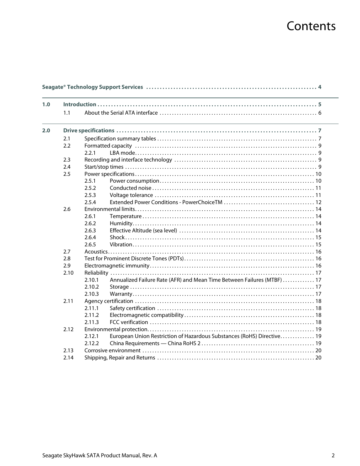# Contents

| 1.0 |      |        |                                                                         |
|-----|------|--------|-------------------------------------------------------------------------|
|     | 1.1  |        |                                                                         |
| 2.0 |      |        |                                                                         |
|     | 2.1  |        |                                                                         |
|     | 2.2  |        |                                                                         |
|     |      | 2.2.1  |                                                                         |
|     | 2.3  |        |                                                                         |
|     | 2.4  |        |                                                                         |
|     | 2.5  |        |                                                                         |
|     |      | 2.5.1  |                                                                         |
|     |      | 2.5.2  |                                                                         |
|     |      | 2.5.3  |                                                                         |
|     |      | 2.5.4  |                                                                         |
|     | 2.6  |        |                                                                         |
|     |      | 2.6.1  |                                                                         |
|     |      | 2.6.2  |                                                                         |
|     |      | 2.6.3  |                                                                         |
|     |      | 2.6.4  |                                                                         |
|     |      | 2.6.5  |                                                                         |
|     | 2.7  |        |                                                                         |
|     | 2.8  |        |                                                                         |
|     | 2.9  |        |                                                                         |
|     | 2.10 |        |                                                                         |
|     |      | 2.10.1 | Annualized Failure Rate (AFR) and Mean Time Between Failures (MTBF)  17 |
|     |      | 2.10.2 |                                                                         |
|     |      | 2.10.3 |                                                                         |
|     | 2.11 |        |                                                                         |
|     |      | 2.11.1 |                                                                         |
|     |      | 2.11.2 |                                                                         |
|     |      | 2.11.3 |                                                                         |
|     | 2.12 |        |                                                                         |
|     |      | 2.12.1 | European Union Restriction of Hazardous Substances (RoHS) Directive 19  |
|     |      | 2.12.2 |                                                                         |
|     | 2.13 |        |                                                                         |
|     | 2.14 |        |                                                                         |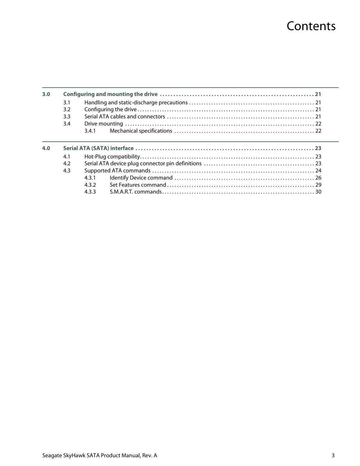# **Contents**

| 3.0 |            |     |  |
|-----|------------|-----|--|
|     | 3.1        |     |  |
|     | 3.2        |     |  |
|     | 3.3        |     |  |
|     | 3.4        |     |  |
|     |            | 341 |  |
| 4.0 |            |     |  |
|     | 4.1        |     |  |
|     | 4.2<br>4.3 |     |  |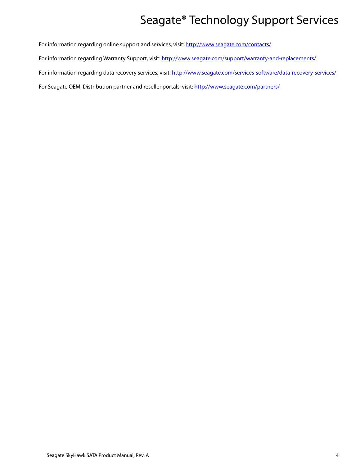# Seagate® Technology Support Services

<span id="page-4-0"></span>For information regarding online support and services, visit: [http://www.sea](http://www.seagate.com/contacts/)gate.com/contacts/ [For information regarding Warranty Support, visit:](http://www.seagate.com/support/warranty-and-replacements/) http://www.seagate.com/support/warranty-and-replacements/ For information regarding data recovery services, visit: [http://www.sea](http://www.seagate.com/services-software/data-recovery-services/)gate.com/services-software/data-recovery-services/ [For Seagate OEM, Distribution partner and reseller portals, visit: h](http://www.seagate.com/partners/)ttp://www.seagate.com/partners/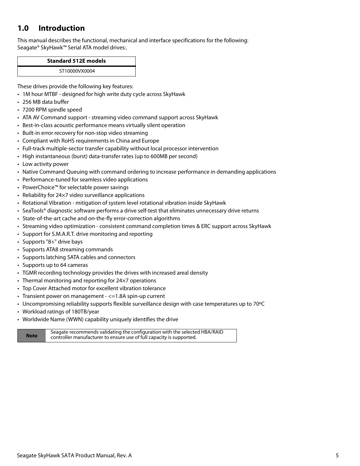## <span id="page-5-0"></span>**1.0 Introduction**

This manual describes the functional, mechanical and interface specifications for the following: Seagate® SkyHawk™ Serial ATA model drives:.

#### **Standard 512E models**

ST10000VX0004

These drives provide the following key features:

- 1M hour MTBF designed for high write duty cycle across SkyHawk
- 256 MB data buffer
- 7200 RPM spindle speed
- ATA AV Command support streaming video command support across SkyHawk
- Best-in-class acoustic performance means virtually silent operation
- Built-in error recovery for non-stop video streaming
- Compliant with RoHS requirements in China and Europe
- Full-track multiple-sector transfer capability without local processor intervention
- High instantaneous (burst) data-transfer rates (up to 600MB per second)
- Low activity power
- Native Command Queuing with command ordering to increase performance in demanding applications
- Performance-tuned for seamless video applications
- PowerChoice™ for selectable power savings
- Reliability for 24×7 video surveillance applications
- Rotational Vibration mitigation of system level rotational vibration inside SkyHawk
- SeaTools® diagnostic software performs a drive self-test that eliminates unnecessary drive returns
- State-of-the-art cache and on-the-fly error-correction algorithms
- Streaming video optimization consistent command completion times & ERC support across SkyHawk
- Support for S.M.A.R.T. drive monitoring and reporting
- Supports "8+" drive bays
- Supports ATA8 streaming commands
- Supports latching SATA cables and connectors
- Supports up to 64 cameras
- TGMR recording technology provides the drives with increased areal density
- Thermal monitoring and reporting for 24×7 operations
- Top Cover Attached motor for excellent vibration tolerance
- Transient power on management  $-$  <=1.8A spin-up current
- Uncompromising reliability supports flexible surveillance design with case temperatures up to 70ºC
- Workload ratings of 180TB/year
- Worldwide Name (WWN) capability uniquely identifies the drive

Seagate recommends validating the configuration with the selected HBA/RAID<br>
controller manufacturer to ensure use of full capacity is supported controller manufacturer to ensure use of full capacity is supported.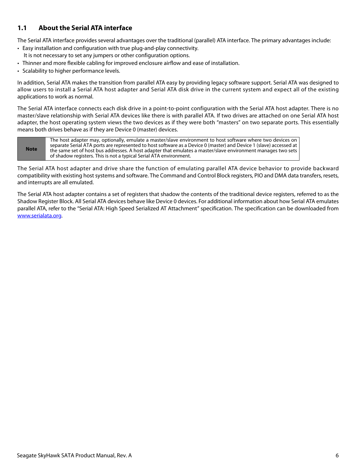## <span id="page-6-0"></span>**1.1 About the Serial ATA interface**

The Serial ATA interface provides several advantages over the traditional (parallel) ATA interface. The primary advantages include:

- Easy installation and configuration with true plug-and-play connectivity. It is not necessary to set any jumpers or other configuration options.
- Thinner and more flexible cabling for improved enclosure airflow and ease of installation.
- Scalability to higher performance levels.

In addition, Serial ATA makes the transition from parallel ATA easy by providing legacy software support. Serial ATA was designed to allow users to install a Serial ATA host adapter and Serial ATA disk drive in the current system and expect all of the existing applications to work as normal.

The Serial ATA interface connects each disk drive in a point-to-point configuration with the Serial ATA host adapter. There is no master/slave relationship with Serial ATA devices like there is with parallel ATA. If two drives are attached on one Serial ATA host adapter, the host operating system views the two devices as if they were both "masters" on two separate ports. This essentially means both drives behave as if they are Device 0 (master) devices.

| <b>Note</b> | The host adapter may, optionally, emulate a master/slave environment to host software where two devices on<br>separate Serial ATA ports are represented to host software as a Device 0 (master) and Device 1 (slave) accessed at  <br>the same set of host bus addresses. A host adapter that emulates a master/slave environment manages two sets l<br>of shadow registers. This is not a typical Serial ATA environment. |
|-------------|----------------------------------------------------------------------------------------------------------------------------------------------------------------------------------------------------------------------------------------------------------------------------------------------------------------------------------------------------------------------------------------------------------------------------|
|-------------|----------------------------------------------------------------------------------------------------------------------------------------------------------------------------------------------------------------------------------------------------------------------------------------------------------------------------------------------------------------------------------------------------------------------------|

The Serial ATA host adapter and drive share the function of emulating parallel ATA device behavior to provide backward compatibility with existing host systems and software. The Command and Control Block registers, PIO and DMA data transfers, resets, and interrupts are all emulated.

The Serial ATA host adapter contains a set of registers that shadow the contents of the traditional device registers, referred to as the Shadow Register Block. All Serial ATA devices behave like Device 0 devices. For additional information about how Serial ATA emulates parallel ATA, refer to the "Serial ATA: High Speed Serialized AT Attachment" specification. The specification can be downloaded from [www.serialata.or](http://www.serialata.org)g.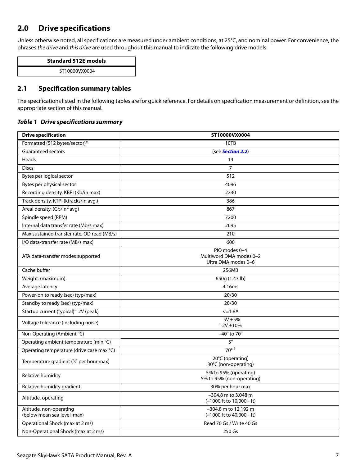## <span id="page-7-0"></span>**2.0 Drive specifications**

Unless otherwise noted, all specifications are measured under ambient conditions, at 25°C, and nominal power. For convenience, the phrases the drive and this drive are used throughout this manual to indicate the following drive models:

| <b>Standard 512E models</b> |
|-----------------------------|
| ST10000VX0004               |
|                             |

## <span id="page-7-1"></span>**2.1 Specification summary tables**

The specifications listed in the following tables are for quick reference. For details on specification measurement or definition, see the appropriate section of this manual.

#### *Table 1 Drive specifications summary*

| <b>Drive specification</b>                             | ST10000VX0004                                                         |  |  |
|--------------------------------------------------------|-----------------------------------------------------------------------|--|--|
| Formatted (512 bytes/sector)*                          | 10TB                                                                  |  |  |
| Guaranteed sectors                                     | (see Section 2.2)                                                     |  |  |
| Heads                                                  | 14                                                                    |  |  |
| <b>Discs</b>                                           | $\overline{7}$                                                        |  |  |
| Bytes per logical sector                               | 512                                                                   |  |  |
| Bytes per physical sector                              | 4096                                                                  |  |  |
| Recording density, KBPI (Kb/in max)                    | 2230                                                                  |  |  |
| Track density, KTPI (ktracks/in avg.)                  | 386                                                                   |  |  |
| Areal density, (Gb/in <sup>2</sup> avg)                | 867                                                                   |  |  |
| Spindle speed (RPM)                                    | 7200                                                                  |  |  |
| Internal data transfer rate (Mb/s max)                 | 2695                                                                  |  |  |
| Max sustained transfer rate, OD read (MB/s)            | 210                                                                   |  |  |
| I/O data-transfer rate (MB/s max)                      | 600                                                                   |  |  |
| ATA data-transfer modes supported                      | PIO modes 0-4<br>Multiword DMA modes 0-2<br>Ultra DMA modes 0-6       |  |  |
| Cache buffer                                           | 256MB                                                                 |  |  |
| Weight: (maximum)                                      | 650g (1.43 lb)                                                        |  |  |
| Average latency                                        | 4.16ms                                                                |  |  |
| Power-on to ready (sec) (typ/max)                      | 20/30                                                                 |  |  |
| Standby to ready (sec) (typ/max)                       | 20/30                                                                 |  |  |
| Startup current (typical) 12V (peak)                   | $\leq 1.8A$                                                           |  |  |
| Voltage tolerance (including noise)                    | $5V \pm 5%$<br>12V ±10%                                               |  |  |
| Non-Operating (Ambient °C)                             | $-40^\circ$ to 70 $^\circ$                                            |  |  |
| Operating ambient temperature (min °C)                 | $5^{\circ}$                                                           |  |  |
| Operating temperature (drive case max °C)              | $70^\circ$ <sup>+</sup>                                               |  |  |
| Temperature gradient (°C per hour max)                 | 20°C (operating)<br>30°C (non-operating)                              |  |  |
| Relative humidity                                      | 5% to 95% (operating)<br>5% to 95% (non-operating)                    |  |  |
| Relative humidity gradient                             | 30% per hour max                                                      |  |  |
| Altitude, operating                                    | $-304.8$ m to 3.048 m<br>$(-1000 \text{ ft to } 10,000 + \text{ ft})$ |  |  |
| Altitude, non-operating<br>(below mean sea level, max) | -304.8 m to 12,192 m<br>$(-1000$ ft to $40,000+$ ft)                  |  |  |
| Operational Shock (max at 2 ms)                        | Read 70 Gs / Write 40 Gs                                              |  |  |
| Non-Operational Shock (max at 2 ms)                    | 250 Gs                                                                |  |  |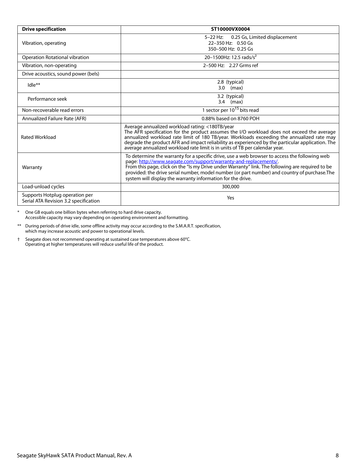| <b>Drive specification</b>                                              | ST10000VX0004                                                                                                                                                                                                                                                                                                                                                                                                                         |  |  |
|-------------------------------------------------------------------------|---------------------------------------------------------------------------------------------------------------------------------------------------------------------------------------------------------------------------------------------------------------------------------------------------------------------------------------------------------------------------------------------------------------------------------------|--|--|
| Vibration, operating                                                    | 5-22 Hz: 0.25 Gs, Limited displacement<br>22-350 Hz: 0.50 Gs<br>350-500 Hz: 0.25 Gs                                                                                                                                                                                                                                                                                                                                                   |  |  |
| Operation Rotational vibration                                          | 20-1500Hz: 12.5 rads/s <sup>2</sup>                                                                                                                                                                                                                                                                                                                                                                                                   |  |  |
| Vibration, non-operating                                                | 2-500 Hz: 2.27 Grms ref                                                                                                                                                                                                                                                                                                                                                                                                               |  |  |
| Drive acoustics, sound power (bels)                                     |                                                                                                                                                                                                                                                                                                                                                                                                                                       |  |  |
| $Idle**$                                                                | 2.8 (typical)<br>$3.0$ (max)                                                                                                                                                                                                                                                                                                                                                                                                          |  |  |
| Performance seek                                                        | 3.2 (typical)<br>$3.4$ (max)                                                                                                                                                                                                                                                                                                                                                                                                          |  |  |
| Non-recoverable read errors                                             | 1 sector per 10 <sup>15</sup> bits read                                                                                                                                                                                                                                                                                                                                                                                               |  |  |
| Annualized Failure Rate (AFR)                                           | 0.88% based on 8760 POH                                                                                                                                                                                                                                                                                                                                                                                                               |  |  |
| <b>Rated Workload</b>                                                   | Average annualized workload rating: <180TB/year<br>The AFR specification for the product assumes the I/O workload does not exceed the average<br>annualized workload rate limit of 180 TB/year. Workloads exceeding the annualized rate may<br>degrade the product AFR and impact reliability as experienced by the particular application. The<br>average annualized workload rate limit is in units of TB per calendar year.        |  |  |
| Warranty                                                                | To determine the warranty for a specific drive, use a web browser to access the following web<br>page: http://www.seagate.com/support/warranty-and-replacements/.<br>From this page, click on the "Is my Drive under Warranty" link. The following are required to be<br>provided: the drive serial number, model number (or part number) and country of purchase. The<br>system will display the warranty information for the drive. |  |  |
| Load-unload cycles                                                      | 300,000                                                                                                                                                                                                                                                                                                                                                                                                                               |  |  |
| Supports Hotplug operation per<br>Serial ATA Revision 3.2 specification | Yes                                                                                                                                                                                                                                                                                                                                                                                                                                   |  |  |

\* One GB equals one billion bytes when referring to hard drive capacity. Accessible capacity may vary depending on operating environment and formatting.

\*\* During periods of drive idle, some offline activity may occur according to the S.M.A.R.T. specification, which may increase acoustic and power to operational levels.

† Seagate does not recommend operating at sustained case temperatures above 60°C. Operating at higher temperatures will reduce useful life of the product.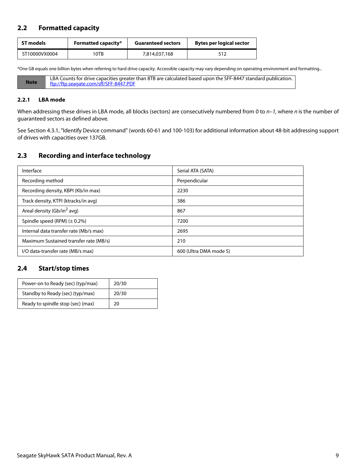## <span id="page-9-0"></span>**2.2 Formatted capacity**

| ST models     | <b>Formatted capacity*</b> | <b>Guaranteed sectors</b> | <b>Bytes per logical sector</b> |  |
|---------------|----------------------------|---------------------------|---------------------------------|--|
| ST10000VX0004 | 10TB                       | 7,814,037,168             | -512                            |  |

\*One GB equals one billion bytes when referring to hard drive capacity. Accessible capacity may vary depending on operating environment and formatting..

| <b>Note</b> | LBA Counts for drive capacities greater than 8TB are calculated based upon the SFF-8447 standard publication.<br>ftp://ftp.seagate.com/sff/SFF-8447.PDF |
|-------------|---------------------------------------------------------------------------------------------------------------------------------------------------------|

#### <span id="page-9-1"></span>**2.2.1 LBA mode**

When addressing these drives in LBA mode, all blocks (sectors) are consecutively numbered from 0 to  $n-1$ , where n is the number of guaranteed sectors as defined above.

See [Section 4.3.1, "Identify Device command"](#page-26-0) (words 60-61 and 100-103) for additional information about 48-bit addressing support of drives with capacities over 137GB.

### <span id="page-9-2"></span>**2.3 Recording and interface technology**

| Interface                              | Serial ATA (SATA)      |
|----------------------------------------|------------------------|
| Recording method                       | Perpendicular          |
| Recording density, KBPI (Kb/in max)    | 2230                   |
| Track density, KTPI (ktracks/in avg)   | 386                    |
| Areal density (Gb/in <sup>2</sup> avg) | 867                    |
| Spindle speed (RPM) $(\pm 0.2\%)$      | 7200                   |
| Internal data transfer rate (Mb/s max) | 2695                   |
| Maximum Sustained transfer rate (MB/s) | 210                    |
| I/O data-transfer rate (MB/s max)      | 600 (Ultra DMA mode 5) |

#### <span id="page-9-3"></span>**2.4 Start/stop times**

| Power-on to Ready (sec) (typ/max) | 20/30 |
|-----------------------------------|-------|
| Standby to Ready (sec) (typ/max)  | 20/30 |
| Ready to spindle stop (sec) (max) | 20    |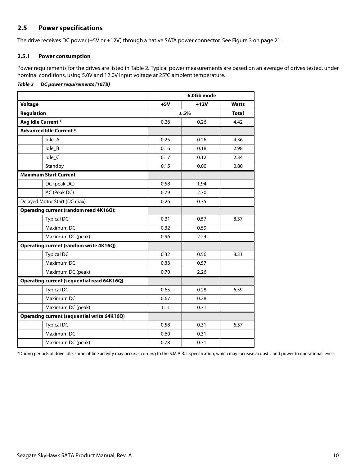## <span id="page-10-0"></span>**2.5 Power specifications**

The drive receives DC power (+5V or +12V) through a native SATA power connector. See Figure [3](#page-21-4) on [page 21](#page-21-4).

#### <span id="page-10-1"></span>**2.5.1 Power consumption**

Power requirements for the drives are listed in Table 2. Typical power measurements are based on an average of drives tested, under nominal conditions, using 5.0V and 12.0V input voltage at 25°C ambient temperature.

#### *Table 2 DC power requirements (10TB)*

|                                                    |       | 6.0Gb mode |              |
|----------------------------------------------------|-------|------------|--------------|
| <b>Voltage</b>                                     | $+5V$ | $+12V$     | <b>Watts</b> |
| <b>Regulation</b>                                  | ± 5%  |            | <b>Total</b> |
| Avg Idle Current*                                  | 0.26  | 0.26       | 4.42         |
| <b>Advanced Idle Current *</b>                     |       |            |              |
| Idle_A                                             | 0.25  | 0.26       | 4.36         |
| Idle_B                                             | 0.16  | 0.18       | 2.98         |
| Idle_C                                             | 0.17  | 0.12       | 2.34         |
| Standby                                            | 0.15  | 0.00       | 0.80         |
| <b>Maximum Start Current</b>                       |       |            |              |
| DC (peak DC)                                       | 0.58  | 1.94       |              |
| AC (Peak DC)                                       | 0.79  | 2.70       |              |
| Delayed Motor Start (DC max)                       | 0.26  | 0.75       |              |
| <b>Operating current (random read 4K16Q):</b>      |       |            |              |
| <b>Typical DC</b>                                  | 0.31  | 0.57       | 8.37         |
| Maximum DC                                         | 0.32  | 0.59       |              |
| Maximum DC (peak)                                  | 0.96  | 2.24       |              |
| <b>Operating current (random write 4K16Q)</b>      |       |            |              |
| <b>Typical DC</b>                                  | 0.32  | 0.56       | 8.31         |
| Maximum DC                                         | 0.33  | 0.57       |              |
| Maximum DC (peak)                                  | 0.70  | 2.26       |              |
| <b>Operating current (sequential read 64K16Q)</b>  |       |            |              |
| <b>Typical DC</b>                                  | 0.65  | 0.28       | 6.59         |
| Maximum DC                                         | 0.67  | 0.28       |              |
| Maximum DC (peak)                                  | 1.11  | 0.71       |              |
| <b>Operating current (sequential write 64K16Q)</b> |       |            |              |
| <b>Typical DC</b>                                  | 0.58  | 0.31       | 6.57         |
| Maximum DC                                         | 0.60  | 0.31       |              |
| Maximum DC (peak)                                  | 0.78  | 0.71       |              |

\*During periods of drive idle, some offline activity may occur according to the S.M.A.R.T. specification, which may increase acoustic and power to operational levels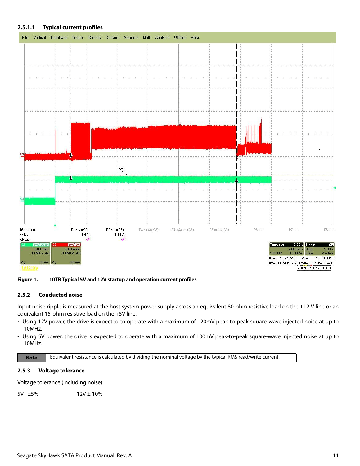

**Figure 1. 10TB Typical 5V and 12V startup and operation current profiles**

#### <span id="page-11-0"></span>**2.5.2 Conducted noise**

Input noise ripple is measured at the host system power supply across an equivalent 80-ohm resistive load on the +12 V line or an equivalent 15-ohm resistive load on the +5V line.

- Using 12V power, the drive is expected to operate with a maximum of 120mV peak-to-peak square-wave injected noise at up to 10MHz.
- Using 5V power, the drive is expected to operate with a maximum of 100mV peak-to-peak square-wave injected noise at up to 10MHz.

**Note** Equivalent resistance is calculated by dividing the nominal voltage by the typical RMS read/write current.

#### <span id="page-11-1"></span>**2.5.3 Voltage tolerance**

Voltage tolerance (including noise):

 $5V \pm 5\%$  12V  $\pm$  10%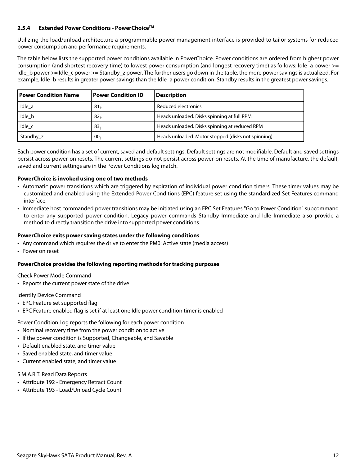#### <span id="page-12-0"></span>**2.5.4 Extended Power Conditions - PowerChoiceTM**

Utilizing the load/unload architecture a programmable power management interface is provided to tailor systems for reduced power consumption and performance requirements.

The table below lists the supported power conditions available in PowerChoice. Power conditions are ordered from highest power consumption (and shortest recovery time) to lowest power consumption (and longest recovery time) as follows: Idle a power >= Idle b power >= Idle c power >= Standby z power. The further users go down in the table, the more power savings is actualized. For example, Idle\_b results in greater power savings than the Idle\_a power condition. Standby results in the greatest power savings.

| <b>Power Condition Name</b> | <b>Power Condition ID</b> | <b>Description</b>                                 |
|-----------------------------|---------------------------|----------------------------------------------------|
| Idle a                      | 81 <sub>H</sub>           | Reduced electronics                                |
| Idle b                      | 82 <sub>H</sub>           | Heads unloaded. Disks spinning at full RPM         |
| Idle c                      | 83 <sub>H</sub>           | Heads unloaded. Disks spinning at reduced RPM      |
| Standby z                   | 00 <sub>H</sub>           | Heads unloaded. Motor stopped (disks not spinning) |

Each power condition has a set of current, saved and default settings. Default settings are not modifiable. Default and saved settings persist across power-on resets. The current settings do not persist across power-on resets. At the time of manufacture, the default, saved and current settings are in the Power Conditions log match.

#### **PowerChoice is invoked using one of two methods**

- Automatic power transitions which are triggered by expiration of individual power condition timers. These timer values may be customized and enabled using the Extended Power Conditions (EPC) feature set using the standardized Set Features command interface.
- Immediate host commanded power transitions may be initiated using an EPC Set Features "Go to Power Condition" subcommand to enter any supported power condition. Legacy power commands Standby Immediate and Idle Immediate also provide a method to directly transition the drive into supported power conditions.

#### **PowerChoice exits power saving states under the following conditions**

- Any command which requires the drive to enter the PM0: Active state (media access)
- Power on reset

#### **PowerChoice provides the following reporting methods for tracking purposes**

Check Power Mode Command

• Reports the current power state of the drive

#### Identify Device Command

- EPC Feature set supported flag
- EPC Feature enabled flag is set if at least one Idle power condition timer is enabled

#### Power Condition Log reports the following for each power condition

- Nominal recovery time from the power condition to active
- If the power condition is Supported, Changeable, and Savable
- Default enabled state, and timer value
- Saved enabled state, and timer value
- Current enabled state, and timer value

#### S.M.A.R.T. Read Data Reports

- Attribute 192 Emergency Retract Count
- Attribute 193 Load/Unload Cycle Count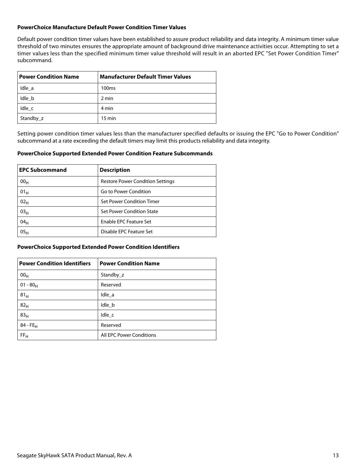#### **PowerChoice Manufacture Default Power Condition Timer Values**

Default power condition timer values have been established to assure product reliability and data integrity. A minimum timer value threshold of two minutes ensures the appropriate amount of background drive maintenance activities occur. Attempting to set a timer values less than the specified minimum timer value threshold will result in an aborted EPC "Set Power Condition Timer" subcommand.

| <b>Power Condition Name</b> | <b>Manufacturer Default Timer Values</b> |
|-----------------------------|------------------------------------------|
| Idle a                      | 100 <sub>ms</sub>                        |
| Idle b                      | 2 min                                    |
| Idle c                      | 4 min                                    |
| Standby_z                   | $15 \text{ min}$                         |

Setting power condition timer values less than the manufacturer specified defaults or issuing the EPC "Go to Power Condition" subcommand at a rate exceeding the default timers may limit this products reliability and data integrity.

#### **PowerChoice Supported Extended Power Condition Feature Subcommands**

| <b>EPC Subcommand</b> | <b>Description</b>                      |
|-----------------------|-----------------------------------------|
| 00 <sub>H</sub>       | <b>Restore Power Condition Settings</b> |
| 01 <sub>H</sub>       | Go to Power Condition                   |
| 02 <sub>H</sub>       | Set Power Condition Timer               |
| 03 <sub>H</sub>       | Set Power Condition State               |
| 04 <sub>H</sub>       | <b>Enable EPC Feature Set</b>           |
| 05 <sub>H</sub>       | Disable EPC Feature Set                 |

#### **PowerChoice Supported Extended Power Condition Identifiers**

| <b>Power Condition Identifiers</b> | <b>Power Condition Name</b> |
|------------------------------------|-----------------------------|
| 00 <sub>H</sub>                    | Standby_z                   |
| $01 - 80_H$                        | Reserved                    |
| 81 <sub>H</sub>                    | Idle_a                      |
| 82 <sub>H</sub>                    | Idle_b                      |
| 83 <sub>H</sub>                    | $Idle_{c}$                  |
| $84 - FE_H$                        | Reserved                    |
| FF <sub>H</sub>                    | All EPC Power Conditions    |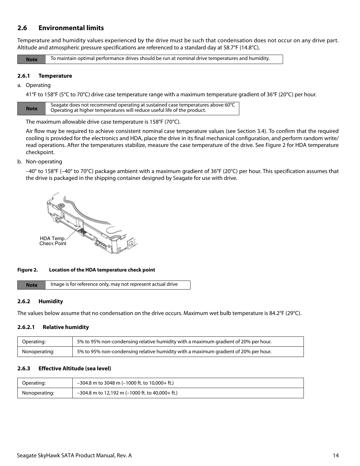## <span id="page-14-0"></span>**2.6 Environmental limits**

Temperature and humidity values experienced by the drive must be such that condensation does not occur on any drive part. Altitude and atmospheric pressure specifications are referenced to a standard day at 58.7°F (14.8°C).

**Note** To maintain optimal performance drives should be run at nominal drive temperatures and humidity.

#### <span id="page-14-1"></span>**2.6.1 Temperature**

a. Operating

41°F to 158°F (5°C to 70°C) drive case temperature range with a maximum temperature gradient of 36°F (20°C) per hour.

| Seagate does not recommend operating at sustained case temperatures above $60^{\circ}$ C<br><b>Note</b><br>Operating at higher temperatures will reduce useful life of the product. |
|-------------------------------------------------------------------------------------------------------------------------------------------------------------------------------------|
|-------------------------------------------------------------------------------------------------------------------------------------------------------------------------------------|

The maximum allowable drive case temperature is 158°F (70°C).

Air flow may be required to achieve consistent nominal case temperature values (see Section [3.4\)](#page-22-0). To confirm that the required cooling is provided for the electronics and HDA, place the drive in its final mechanical configuration, and perform random write/ read operations. After the temperatures stabilize, measure the case temperature of the drive. See Figure [2](#page-14-4) for HDA temperature checkpoint.

b. Non-operating

–40° to 158°F (–40° to 70°C) package ambient with a maximum gradient of 36°F (20°C) per hour. This specification assumes that the drive is packaged in the shipping container designed by Seagate for use with drive.



#### <span id="page-14-4"></span>**Figure 2. Location of the HDA temperature check point**

Note **Image is for reference only, may not represent actual drive** 

#### <span id="page-14-2"></span>**2.6.2 Humidity**

The values below assume that no condensation on the drive occurs. Maximum wet bulb temperature is 84.2°F (29°C).

#### **2.6.2.1 Relative humidity**

| Operating:    | 5% to 95% non-condensing relative humidity with a maximum gradient of 20% per hour. |
|---------------|-------------------------------------------------------------------------------------|
| Nonoperating: | 5% to 95% non-condensing relative humidity with a maximum gradient of 20% per hour. |

#### <span id="page-14-3"></span>**2.6.3 Effective Altitude (sea level)**

| Operating:    | $-304.8$ m to 3048 m (-1000 ft. to 10,000+ ft.)   |
|---------------|---------------------------------------------------|
| Nonoperating: | $-304.8$ m to 12,192 m (-1000 ft. to 40,000+ ft.) |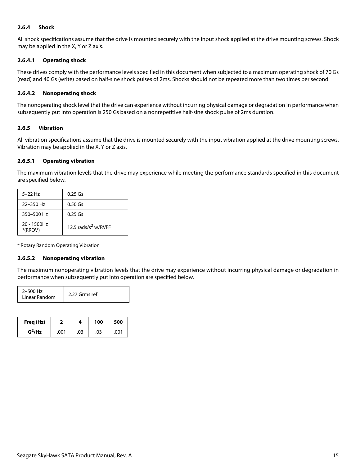#### <span id="page-15-0"></span>**2.6.4 Shock**

All shock specifications assume that the drive is mounted securely with the input shock applied at the drive mounting screws. Shock may be applied in the X, Y or Z axis.

#### **2.6.4.1 Operating shock**

These drives comply with the performance levels specified in this document when subjected to a maximum operating shock of 70 Gs (read) and 40 Gs (write) based on half-sine shock pulses of 2ms. Shocks should not be repeated more than two times per second.

#### **2.6.4.2 Nonoperating shock**

The nonoperating shock level that the drive can experience without incurring physical damage or degradation in performance when subsequently put into operation is 250 Gs based on a nonrepetitive half-sine shock pulse of 2ms duration.

#### <span id="page-15-1"></span>**2.6.5 Vibration**

All vibration specifications assume that the drive is mounted securely with the input vibration applied at the drive mounting screws. Vibration may be applied in the X, Y or Z axis.

#### **2.6.5.1 Operating vibration**

The maximum vibration levels that the drive may experience while meeting the performance standards specified in this document are specified below.

| $5 - 22$ Hz               | $0.25$ Gs                       |
|---------------------------|---------------------------------|
| 22-350 Hz                 | $0.50$ Gs                       |
| 350-500 Hz                | $0.25$ Gs                       |
| $20 - 1500$ Hz<br>*(RROV) | 12.5 rads/s <sup>2</sup> w/RVFF |

\* Rotary Random Operating Vibration

#### **2.6.5.2 Nonoperating vibration**

The maximum nonoperating vibration levels that the drive may experience without incurring physical damage or degradation in performance when subsequently put into operation are specified below.

| $2 - 500$ Hz<br>Linear Random | 2.27 Grms ref |
|-------------------------------|---------------|
|-------------------------------|---------------|

| Freq (Hz) |      | 4   | 100 | 500  |
|-----------|------|-----|-----|------|
| $G^2$ /Hz | .001 | .03 | .03 | .001 |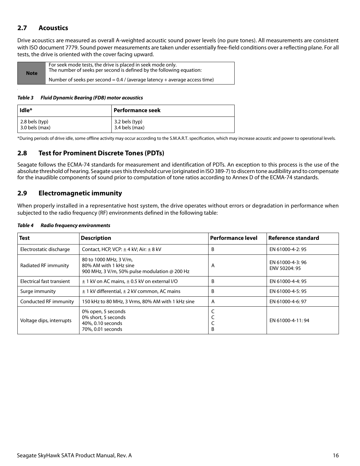## <span id="page-16-0"></span>**2.7 Acoustics**

Drive acoustics are measured as overall A-weighted acoustic sound power levels (no pure tones). All measurements are consistent with ISO document 7779. Sound power measurements are taken under essentially free-field conditions over a reflecting plane. For all tests, the drive is oriented with the cover facing upward.

| <b>Note</b> | For seek mode tests, the drive is placed in seek mode only.<br>The number of seeks per second is defined by the following equation: |
|-------------|-------------------------------------------------------------------------------------------------------------------------------------|
|             | Number of seeks per second = $0.4$ / (average latency + average access time)                                                        |

#### *Table 3 Fluid Dynamic Bearing (FDB) motor acoustics*

| Idle*                  | Performance seek |
|------------------------|------------------|
| $\vert$ 2.8 bels (typ) | 3.2 bels (typ)   |
| $3.0$ bels (max)       | 3.4 bels (max)   |

\*During periods of drive idle, some offline activity may occur according to the S.M.A.R.T. specification, which may increase acoustic and power to operational levels.

### <span id="page-16-1"></span>**2.8 Test for Prominent Discrete Tones (PDTs)**

Seagate follows the ECMA-74 standards for measurement and identification of PDTs. An exception to this process is the use of the absolute threshold of hearing. Seagate uses this threshold curve (originated in ISO 389-7) to discern tone audibility and to compensate for the inaudible components of sound prior to computation of tone ratios according to Annex D of the ECMA-74 standards.

### <span id="page-16-2"></span>**2.9 Electromagnetic immunity**

When properly installed in a representative host system, the drive operates without errors or degradation in performance when subjected to the radio frequency (RF) environments defined in the following table:

| Test                      | <b>Description</b>                                                                                | <b>Performance level</b> | Reference standard               |
|---------------------------|---------------------------------------------------------------------------------------------------|--------------------------|----------------------------------|
| Electrostatic discharge   | Contact, HCP, VCP: $\pm$ 4 kV; Air: $\pm$ 8 kV                                                    | В                        | EN 61000-4-2:95                  |
| Radiated RF immunity      | 80 to 1000 MHz, 3 V/m,<br>80% AM with 1 kHz sine<br>900 MHz, 3 V/m, 50% pulse modulation @ 200 Hz | A                        | EN 61000-4-3:96<br>ENV 50204: 95 |
| Electrical fast transient | $\pm$ 1 kV on AC mains, $\pm$ 0.5 kV on external I/O                                              | R                        | EN 61000-4-4: 95                 |
| Surge immunity            | $\pm$ 1 kV differential, $\pm$ 2 kV common, AC mains                                              | B                        | EN 61000-4-5: 95                 |
| Conducted RF immunity     | 150 kHz to 80 MHz, 3 Vrms, 80% AM with 1 kHz sine                                                 | A                        | EN 61000-4-6: 97                 |
| Voltage dips, interrupts  | 0% open, 5 seconds<br>0% short, 5 seconds<br>40%, 0.10 seconds<br>70%, 0.01 seconds               | В                        | EN 61000-4-11:94                 |

#### *Table 4 Radio frequency environments*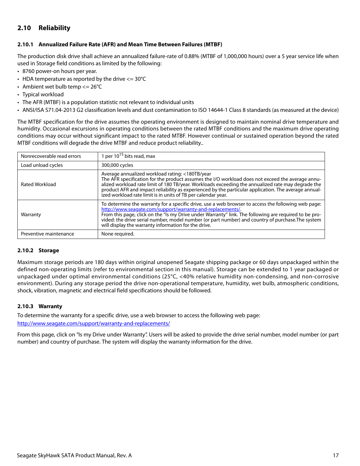## <span id="page-17-0"></span>**2.10 Reliability**

#### <span id="page-17-1"></span>**2.10.1 Annualized Failure Rate (AFR) and Mean Time Between Failures (MTBF)**

The production disk drive shall achieve an annualized failure-rate of 0.88% (MTBF of 1,000,000 hours) over a 5 year service life when used in Storage field conditions as limited by the following:

- 8760 power-on hours per year.
- HDA temperature as reported by the drive  $\epsilon$  = 30°C
- Ambient wet bulb temp  $\leq$  26°C
- Typical workload
- The AFR (MTBF) is a population statistic not relevant to individual units
- ANSI/ISA S71.04-2013 G2 classification levels and dust contamination to ISO 14644-1 Class 8 standards (as measured at the device)

The MTBF specification for the drive assumes the operating environment is designed to maintain nominal drive temperature and humidity. Occasional excursions in operating conditions between the rated MTBF conditions and the maximum drive operating conditions may occur without significant impact to the rated MTBF. However continual or sustained operation beyond the rated MTBF conditions will degrade the drive MTBF and reduce product reliability..

| Nonrecoverable read errors | 1 per $10^{15}$ bits read, max                                                                                                                                                                                                                                                                                                                                                                                                         |
|----------------------------|----------------------------------------------------------------------------------------------------------------------------------------------------------------------------------------------------------------------------------------------------------------------------------------------------------------------------------------------------------------------------------------------------------------------------------------|
| Load unload cycles         | 300,000 cycles                                                                                                                                                                                                                                                                                                                                                                                                                         |
| Rated Workload             | Average annualized workload rating: <180TB/year<br>The AFR specification for the product assumes the I/O workload does not exceed the average annu-<br>alized workload rate limit of 180 TB/year. Workloads exceeding the annualized rate may degrade the<br>product AFR and impact reliability as experienced by the particular application. The average annual-<br>ized workload rate limit is in units of TB per calendar year.     |
| Warranty                   | To determine the warranty for a specific drive, use a web browser to access the following web page:<br>http://www.seagate.com/support/warranty-and-replacements/<br>From this page, click on the "Is my Drive under Warranty" link. The following are required to be pro-<br>vided: the drive serial number, model number (or part number) and country of purchase. The system<br>will display the warranty information for the drive. |
| Preventive maintenance     | None required.                                                                                                                                                                                                                                                                                                                                                                                                                         |

#### <span id="page-17-2"></span>**2.10.2 Storage**

Maximum storage periods are 180 days within original unopened Seagate shipping package or 60 days unpackaged within the defined non-operating limits (refer to environmental section in this manual). Storage can be extended to 1 year packaged or unpackaged under optimal environmental conditions (25°C, <40% relative humidity non-condensing, and non-corrosive environment). During any storage period the drive non-operational temperature, humidity, wet bulb, atmospheric conditions, shock, vibration, magnetic and electrical field specifications should be followed.

#### <span id="page-17-3"></span>**2.10.3 Warranty**

To determine the warranty for a specific drive, use a web browser to access the following web page: <http://www.seagate.com/support/warranty-and-replacements/>

From this page, click on "Is my Drive under Warranty". Users will be asked to provide the drive serial number, model number (or part number) and country of purchase. The system will display the warranty information for the drive.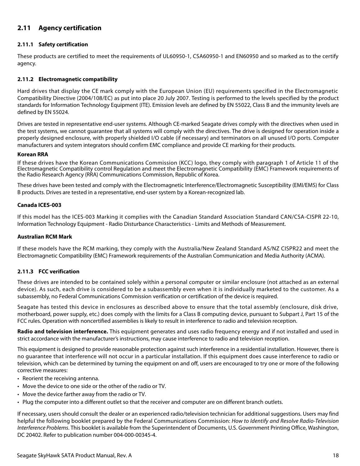## <span id="page-18-0"></span>**2.11 Agency certification**

#### <span id="page-18-1"></span>**2.11.1 Safety certification**

These products are certified to meet the requirements of UL60950-1, CSA60950-1 and EN60950 and so marked as to the certify agency.

#### <span id="page-18-2"></span>**2.11.2 Electromagnetic compatibility**

Hard drives that display the CE mark comply with the European Union (EU) requirements specified in the Electromagnetic Compatibility Directive (2004/108/EC) as put into place 20 July 2007. Testing is performed to the levels specified by the product standards for Information Technology Equipment (ITE). Emission levels are defined by EN 55022, Class B and the immunity levels are defined by EN 55024.

Drives are tested in representative end-user systems. Although CE-marked Seagate drives comply with the directives when used in the test systems, we cannot guarantee that all systems will comply with the directives. The drive is designed for operation inside a properly designed enclosure, with properly shielded I/O cable (if necessary) and terminators on all unused I/O ports. Computer manufacturers and system integrators should confirm EMC compliance and provide CE marking for their products.

#### **Korean RRA**

If these drives have the Korean Communications Commission (KCC) logo, they comply with paragraph 1 of Article 11 of the Electromagnetic Compatibility control Regulation and meet the Electromagnetic Compatibility (EMC) Framework requirements of the Radio Research Agency (RRA) Communications Commission, Republic of Korea.

These drives have been tested and comply with the Electromagnetic Interference/Electromagnetic Susceptibility (EMI/EMS) for Class B products. Drives are tested in a representative, end-user system by a Korean-recognized lab.

#### **Canada ICES-003**

If this model has the ICES-003 Marking it complies with the Canadian Standard Association Standard CAN/CSA-CISPR 22-10, Information Technology Equipment - Radio Disturbance Characteristics - Limits and Methods of Measurement.

#### **Australian RCM Mark**

If these models have the RCM marking, they comply with the Australia/New Zealand Standard AS/NZ CISPR22 and meet the Electromagnetic Compatibility (EMC) Framework requirements of the Australian Communication and Media Authority (ACMA).

#### <span id="page-18-3"></span>**2.11.3 FCC verification**

These drives are intended to be contained solely within a personal computer or similar enclosure (not attached as an external device). As such, each drive is considered to be a subassembly even when it is individually marketed to the customer. As a subassembly, no Federal Communications Commission verification or certification of the device is required.

Seagate has tested this device in enclosures as described above to ensure that the total assembly (enclosure, disk drive, motherboard, power supply, etc.) does comply with the limits for a Class B computing device, pursuant to Subpart J, Part 15 of the FCC rules. Operation with noncertified assemblies is likely to result in interference to radio and television reception.

**Radio and television interference.** This equipment generates and uses radio frequency energy and if not installed and used in strict accordance with the manufacturer's instructions, may cause interference to radio and television reception.

This equipment is designed to provide reasonable protection against such interference in a residential installation. However, there is no guarantee that interference will not occur in a particular installation. If this equipment does cause interference to radio or television, which can be determined by turning the equipment on and off, users are encouraged to try one or more of the following corrective measures:

- Reorient the receiving antenna.
- Move the device to one side or the other of the radio or TV.
- Move the device farther away from the radio or TV.
- Plug the computer into a different outlet so that the receiver and computer are on different branch outlets.

If necessary, users should consult the dealer or an experienced radio/television technician for additional suggestions. Users may find helpful the following booklet prepared by the Federal Communications Commission: How to Identify and Resolve Radio-Television Interference Problems. This booklet is available from the Superintendent of Documents, U.S. Government Printing Office, Washington, DC 20402. Refer to publication number 004-000-00345-4.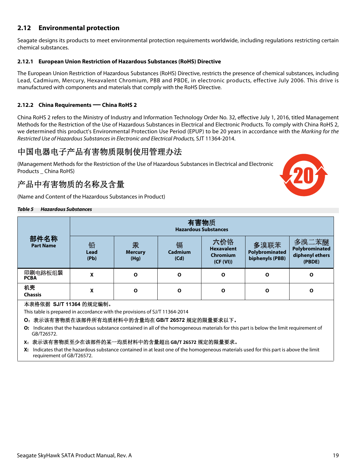## <span id="page-19-0"></span>**2.12 Environmental protection**

Seagate designs its products to meet environmental protection requirements worldwide, including regulations restricting certain chemical substances.

#### <span id="page-19-1"></span>**2.12.1 European Union Restriction of Hazardous Substances (RoHS) Directive**

The European Union Restriction of Hazardous Substances (RoHS) Directive, restricts the presence of chemical substances, including Lead, Cadmium, Mercury, Hexavalent Chromium, PBB and PBDE, in electronic products, effective July 2006. This drive is manufactured with components and materials that comply with the RoHS Directive.

#### <span id="page-19-2"></span>**2.12.2 China Requirements — China RoHS 2**

China RoHS 2 refers to the Ministry of Industry and Information Technology Order No. 32, effective July 1, 2016, titled Management Methods for the Restriction of the Use of Hazardous Substances in Electrical and Electronic Products. To comply with China RoHS 2, we determined this product's Environmental Protection Use Period (EPUP) to be 20 years in accordance with the Marking for the Restricted Use of Hazardous Substances in Electronic and Electrical Products, SJT 11364-2014.

# 中国电器电子产品有害物质限制使用管理办法

(Management Methods for the Restriction of the Use of Hazardous Substances in Electrical and Electronic Products China RoHS)

# 产品中有害物质的名称及含量

(Name and Content of the Hazardous Substances in Product)

#### *Table 5 Hazardous Substances*

|                          | 有害物质<br><b>Hazardous Substances</b> |                             |                      |                                                          |                                           |                                                      |
|--------------------------|-------------------------------------|-----------------------------|----------------------|----------------------------------------------------------|-------------------------------------------|------------------------------------------------------|
| 部件名称<br><b>Part Name</b> | 铅<br><b>Lead</b><br>(Pb)            | 汞<br><b>Mercury</b><br>(Hg) | 镉<br>Cadmium<br>(Cd) | 六价铬<br><b>Hexavalent</b><br><b>Chromium</b><br>(CF (VI)) | 多溴联苯<br>Polybrominated<br>biphenyls (PBB) | 多溴二苯醚<br>Polybrominated<br>diphenyl ethers<br>(PBDE) |
| 印刷电路板组装<br><b>PCBA</b>   | X                                   | O                           | $\mathbf{o}$         | $\mathbf{o}$                                             | $\mathbf{o}$                              | O                                                    |
| 机壳<br><b>Chassis</b>     | X                                   | $\mathbf{o}$                | $\mathbf{o}$         | $\mathbf{o}$                                             | $\mathbf{o}$                              | O                                                    |

#### 本表格依据 **SJ/T 11364** 的规定编制。

This table is prepared in accordance with the provisions of SJ/T 11364-2014

**O**:表示该有害物质在该部件所有均质材料中的含量均在 **GB/T 26572** 规定的限量要求以下。

**O:** Indicates that the hazardous substance contained in all of the homogeneous materials for this part is below the limit requirement of GB/T26572.

#### **X**:表示该有害物质至少在该部件的某一均质材料中的含量超出 **GB/T 26572** 规定的限量要求。

**X:** Indicates that the hazardous substance contained in at least one of the homogeneous materials used for this part is above the limit requirement of GB/T26572.

20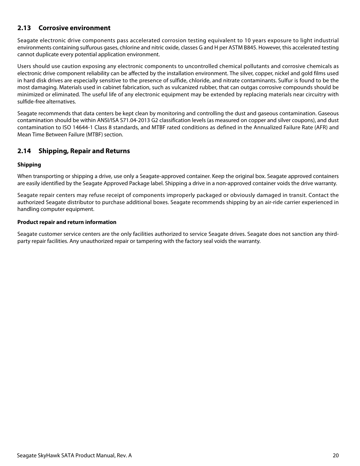## <span id="page-20-0"></span>**2.13 Corrosive environment**

Seagate electronic drive components pass accelerated corrosion testing equivalent to 10 years exposure to light industrial environments containing sulfurous gases, chlorine and nitric oxide, classes G and H per ASTM B845. However, this accelerated testing cannot duplicate every potential application environment.

Users should use caution exposing any electronic components to uncontrolled chemical pollutants and corrosive chemicals as electronic drive component reliability can be affected by the installation environment. The silver, copper, nickel and gold films used in hard disk drives are especially sensitive to the presence of sulfide, chloride, and nitrate contaminants. Sulfur is found to be the most damaging. Materials used in cabinet fabrication, such as vulcanized rubber, that can outgas corrosive compounds should be minimized or eliminated. The useful life of any electronic equipment may be extended by replacing materials near circuitry with sulfide-free alternatives.

Seagate recommends that data centers be kept clean by monitoring and controlling the dust and gaseous contamination. Gaseous contamination should be within ANSI/ISA S71.04-2013 G2 classification levels (as measured on copper and silver coupons), and dust contamination to ISO 14644-1 Class 8 standards, and MTBF rated conditions as defined in the Annualized Failure Rate (AFR) and Mean Time Between Failure (MTBF) section.

## <span id="page-20-1"></span>**2.14 Shipping, Repair and Returns**

#### **Shipping**

When transporting or shipping a drive, use only a Seagate-approved container. Keep the original box. Seagate approved containers are easily identified by the Seagate Approved Package label. Shipping a drive in a non-approved container voids the drive warranty.

Seagate repair centers may refuse receipt of components improperly packaged or obviously damaged in transit. Contact the authorized Seagate distributor to purchase additional boxes. Seagate recommends shipping by an air-ride carrier experienced in handling computer equipment.

#### **Product repair and return information**

Seagate customer service centers are the only facilities authorized to service Seagate drives. Seagate does not sanction any thirdparty repair facilities. Any unauthorized repair or tampering with the factory seal voids the warranty.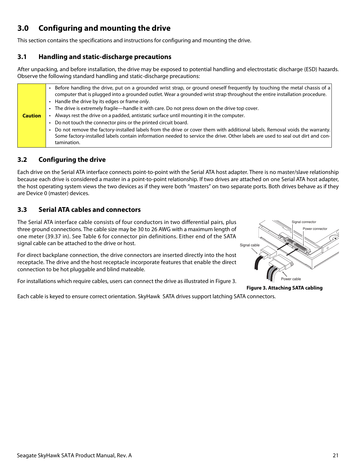# <span id="page-21-0"></span>**3.0 Configuring and mounting the drive**

This section contains the specifications and instructions for configuring and mounting the drive.

## <span id="page-21-1"></span>**3.1 Handling and static-discharge precautions**

After unpacking, and before installation, the drive may be exposed to potential handling and electrostatic discharge (ESD) hazards. Observe the following standard handling and static-discharge precautions:

| Before handling the drive, put on a grounded wrist strap, or ground oneself frequently by touching the metal chassis of a<br>computer that is plugged into a grounded outlet. Wear a grounded wrist strap throughout the entire installation procedure.<br>• Handle the drive by its edges or frame only.<br>• The drive is extremely fragile—handle it with care. Do not press down on the drive top cover.<br>Always rest the drive on a padded, antistatic surface until mounting it in the computer.<br><b>Caution</b><br>Do not touch the connector pins or the printed circuit board.<br>Do not remove the factory-installed labels from the drive or cover them with additional labels. Removal voids the warranty.<br>Some factory-installed labels contain information needed to service the drive. Other labels are used to seal out dirt and con- |
|--------------------------------------------------------------------------------------------------------------------------------------------------------------------------------------------------------------------------------------------------------------------------------------------------------------------------------------------------------------------------------------------------------------------------------------------------------------------------------------------------------------------------------------------------------------------------------------------------------------------------------------------------------------------------------------------------------------------------------------------------------------------------------------------------------------------------------------------------------------|
| tamination.                                                                                                                                                                                                                                                                                                                                                                                                                                                                                                                                                                                                                                                                                                                                                                                                                                                  |
|                                                                                                                                                                                                                                                                                                                                                                                                                                                                                                                                                                                                                                                                                                                                                                                                                                                              |

## <span id="page-21-2"></span>**3.2 Configuring the drive**

Each drive on the Serial ATA interface connects point-to-point with the Serial ATA host adapter. There is no master/slave relationship because each drive is considered a master in a point-to-point relationship. If two drives are attached on one Serial ATA host adapter, the host operating system views the two devices as if they were both "masters" on two separate ports. Both drives behave as if they are Device 0 (master) devices.

## <span id="page-21-3"></span>**3.3 Serial ATA cables and connectors**

The Serial ATA interface cable consists of four conductors in two differential pairs, plus three ground connections. The cable size may be 30 to 26 AWG with a maximum length of one meter (39.37 in). See Table 6 for connector pin definitions. Either end of the SATA signal cable can be attached to the drive or host.

For direct backplane connection, the drive connectors are inserted directly into the host receptacle. The drive and the host receptacle incorporate features that enable the direct connection to be hot pluggable and blind mateable.

<span id="page-21-4"></span>For installations which require cables, users can connect the drive as illustrated in Figure [3](#page-21-4).

Each cable is keyed to ensure correct orientation. SkyHawk SATA drives support latching SATA connectors.



**Figure 3. Attaching SATA cabling**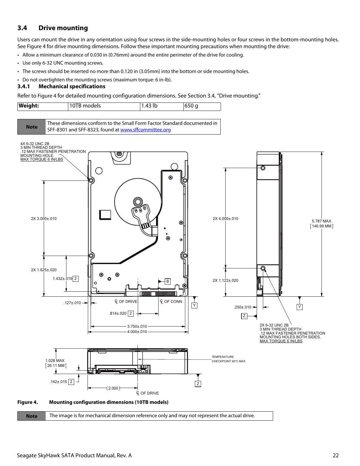## <span id="page-22-0"></span>**3.4 Drive mounting**

Users can mount the drive in any orientation using four screws in the side-mounting holes or four screws in the bottom-mounting holes. See Figure [4](#page-22-2) for drive mounting dimensions. Follow these important mounting precautions when mounting the drive:

- Allow a minimum clearance of 0.030 in (0.76mm) around the entire perimeter of the drive for cooling.
- Use only 6-32 UNC mounting screws.
- The screws should be inserted no more than 0.120 in (3.05mm) into the bottom or side mounting holes.
- Do not overtighten the mounting screws (maximum torque: 6 in-lb).

#### <span id="page-22-1"></span>**3.4.1 Mechanical specifications**

Refer to Figure [4](#page-22-2) for detailed mounting configuration dimensions. See Section [3.4](#page-22-0), "Drive mounting."







<span id="page-22-2"></span>**Note** The image is for mechanical dimension reference only and may not represent the actual drive.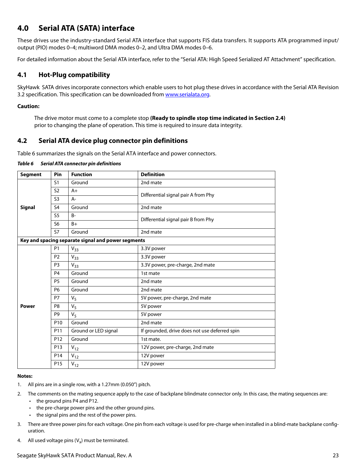## <span id="page-23-0"></span>**4.0 Serial ATA (SATA) interface**

These drives use the industry-standard Serial ATA interface that supports FIS data transfers. It supports ATA programmed input/ output (PIO) modes 0–4; multiword DMA modes 0–2, and Ultra DMA modes 0–6.

For detailed information about the Serial ATA interface, refer to the "Serial ATA: High Speed Serialized AT Attachment" specification.

## <span id="page-23-1"></span>**4.1 Hot-Plug compatibility**

SkyHawk SATA drives incorporate connectors which enable users to hot plug these drives in accordance with the Serial ATA Revision 3.2 specification. This specification can be downloaded from [www.serialata.org](http://www.serialata.org).

#### **Caution:**

The drive motor must come to a complete stop **(Ready to spindle stop time indicated in [Section 2.4](#page-9-3))** prior to changing the plane of operation. This time is required to insure data integrity.

## <span id="page-23-2"></span>**4.2 Serial ATA device plug connector pin definitions**

Table 6 summarizes the signals on the Serial ATA interface and power connectors.

| Table 6 Serial ATA connector pin definitions |
|----------------------------------------------|
|                                              |

| <b>Segment</b> | Pin             | <b>Function</b>                                    | <b>Definition</b>                             |  |
|----------------|-----------------|----------------------------------------------------|-----------------------------------------------|--|
|                | S <sub>1</sub>  | Ground                                             | 2nd mate                                      |  |
|                | S <sub>2</sub>  | $A+$                                               | Differential signal pair A from Phy           |  |
|                | S <sub>3</sub>  | $A -$                                              |                                               |  |
| <b>Signal</b>  | S <sub>4</sub>  | Ground                                             | 2nd mate                                      |  |
|                | S <sub>5</sub>  | $B -$                                              | Differential signal pair B from Phy           |  |
|                | S <sub>6</sub>  | $B+$                                               |                                               |  |
|                | <b>S7</b>       | Ground                                             | 2nd mate                                      |  |
|                |                 | Key and spacing separate signal and power segments |                                               |  |
|                | <b>P1</b>       | $V_{33}$                                           | 3.3V power                                    |  |
|                | P <sub>2</sub>  | $V_{33}$                                           | 3.3V power                                    |  |
|                | P <sub>3</sub>  | $V_{33}$                                           | 3.3V power, pre-charge, 2nd mate              |  |
|                | P <sub>4</sub>  | Ground                                             | 1st mate                                      |  |
|                | P <sub>5</sub>  | Ground                                             | 2nd mate                                      |  |
|                | <b>P6</b>       | Ground                                             | 2nd mate                                      |  |
|                | <b>P7</b>       | $V_5$                                              | 5V power, pre-charge, 2nd mate                |  |
| <b>Power</b>   | P8              | $V_5$                                              | 5V power                                      |  |
|                | P9              | $V_5$                                              | 5V power                                      |  |
|                | P <sub>10</sub> | Ground                                             | 2nd mate                                      |  |
|                | P11             | Ground or LED signal                               | If grounded, drive does not use deferred spin |  |
|                | P12             | Ground                                             | 1st mate.                                     |  |
|                | P13             | $V_{12}$                                           | 12V power, pre-charge, 2nd mate               |  |
|                | P <sub>14</sub> | $V_{12}$                                           | 12V power                                     |  |
|                | P <sub>15</sub> | $V_{12}$                                           | 12V power                                     |  |

#### **Notes:**

- 1. All pins are in a single row, with a 1.27mm (0.050") pitch.
- 2. The comments on the mating sequence apply to the case of backplane blindmate connector only. In this case, the mating sequences are:
	- the ground pins P4 and P12.
	- the pre-charge power pins and the other ground pins.
	- the signal pins and the rest of the power pins.
- 3. There are three power pins for each voltage. One pin from each voltage is used for pre-charge when installed in a blind-mate backplane configuration.
- 4. All used voltage pins  $(V_x)$  must be terminated.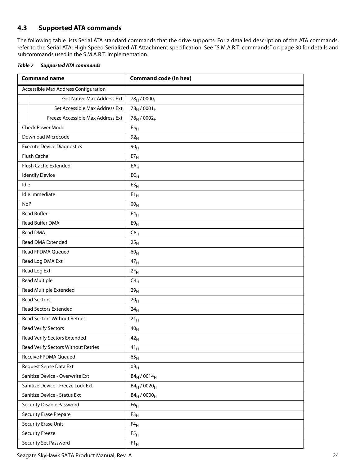## <span id="page-24-0"></span>**4.3 Supported ATA commands**

The following table lists Serial ATA standard commands that the drive supports. For a detailed description of the ATA commands, refer to the Serial ATA: High Speed Serialized AT Attachment specification. [See "S.M.A.R.T. commands" on page 30.f](#page-30-0)or details and subcommands used in the S.M.A.R.T. implementation.

<span id="page-24-1"></span>

| <b>Table 7 Supported ATA commands</b> |
|---------------------------------------|
|                                       |

| <b>Command name</b>                  | <b>Command code (in hex)</b>        |
|--------------------------------------|-------------------------------------|
| Accessible Max Address Configuration |                                     |
| <b>Get Native Max Address Ext</b>    | 78 <sub>H</sub> / 0000 <sub>H</sub> |
| Set Accessible Max Address Ext       | $78_H / 0001_H$                     |
| Freeze Accessible Max Address Ext    | 78 <sub>H</sub> / 0002 <sub>H</sub> |
| <b>Check Power Mode</b>              | E5 <sub>H</sub>                     |
| Download Microcode                   | 92 <sub>H</sub>                     |
| <b>Execute Device Diagnostics</b>    | 90 <sub>H</sub>                     |
| Flush Cache                          | $E7_H$                              |
| Flush Cache Extended                 | EA <sub>H</sub>                     |
| <b>Identify Device</b>               | $EC_{H}$                            |
| Idle                                 | E3 <sub>H</sub>                     |
| Idle Immediate                       | $E1_H$                              |
| <b>NoP</b>                           | 00 <sub>H</sub>                     |
| <b>Read Buffer</b>                   | E4 <sub>H</sub>                     |
| Read Buffer DMA                      | E9 <sub>H</sub>                     |
| Read DMA                             | C8 <sub>H</sub>                     |
| Read DMA Extended                    | 25 <sub>H</sub>                     |
| Read FPDMA Queued                    | 60 <sub>H</sub>                     |
| Read Log DMA Ext                     | 47 <sub>H</sub>                     |
| Read Log Ext                         | $2F_H$                              |
| <b>Read Multiple</b>                 | $C4_H$                              |
| Read Multiple Extended               | 29 <sub>H</sub>                     |
| <b>Read Sectors</b>                  | 20 <sub>H</sub>                     |
| Read Sectors Extended                | 24 <sub>H</sub>                     |
| <b>Read Sectors Without Retries</b>  | $21_H$                              |
| Read Verify Sectors                  | 40 <sub>H</sub>                     |
| Read Verify Sectors Extended         | 42 <sub>H</sub>                     |
| Read Verify Sectors Without Retries  | 41 <sub>H</sub>                     |
| Receive FPDMA Queued                 | 65 <sub>H</sub>                     |
| Request Sense Data Ext               | $0B_H$                              |
| Sanitize Device - Overwrite Ext      | $B4_H / 0014_H$                     |
| Sanitize Device - Freeze Lock Ext    | $B4_H / 0020_H$                     |
| Sanitize Device - Status Ext         | $B4_H / 0000_H$                     |
| Security Disable Password            | F6 <sub>H</sub>                     |
| <b>Security Erase Prepare</b>        | F3 <sub>H</sub>                     |
| Security Erase Unit                  | $\mathsf{F4}_\mathsf{H}$            |
| <b>Security Freeze</b>               | F5 <sub>H</sub>                     |
| Security Set Password                | $F1_H$                              |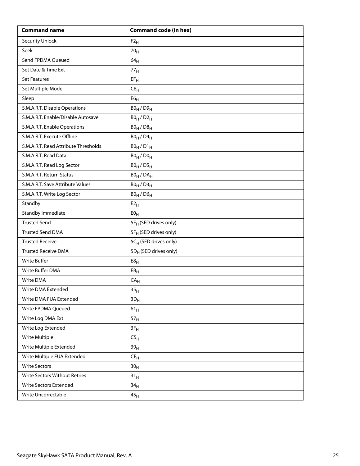| <b>Command name</b>                  | <b>Command code (in hex)</b>      |
|--------------------------------------|-----------------------------------|
| <b>Security Unlock</b>               | $F2_H$                            |
| Seek                                 | 70 <sub>H</sub>                   |
| Send FPDMA Queued                    | 64 <sub>H</sub>                   |
| Set Date & Time Ext                  | 77 <sub>H</sub>                   |
| <b>Set Features</b>                  | $EF_H$                            |
| Set Multiple Mode                    | C6 <sub>H</sub>                   |
| Sleep                                | E6 <sub>H</sub>                   |
| S.M.A.R.T. Disable Operations        | $B0_H / D9_H$                     |
| S.M.A.R.T. Enable/Disable Autosave   | $B0_H / D2_H$                     |
| S.M.A.R.T. Enable Operations         | $B0_H / D8_H$                     |
| S.M.A.R.T. Execute Offline           | $B0_H / D4_H$                     |
| S.M.A.R.T. Read Attribute Thresholds | $B0_H / D1_H$                     |
| S.M.A.R.T. Read Data                 | $B0_H / D0_H$                     |
| S.M.A.R.T. Read Log Sector           | $B0_H / D5_H$                     |
| S.M.A.R.T. Return Status             | $BO_H / DA_H$                     |
| S.M.A.R.T. Save Attribute Values     | $B0_H / D3_H$                     |
| S.M.A.R.T. Write Log Sector          | $B0_H$ / $D6_H$                   |
| Standby                              | E2 <sub>H</sub>                   |
| Standby Immediate                    | E0 <sub>H</sub>                   |
| <b>Trusted Send</b>                  | 5E <sub>H</sub> (SED drives only) |
| <b>Trusted Send DMA</b>              | 5F <sub>H</sub> (SED drives only) |
| <b>Trusted Receive</b>               | 5CH (SED drives only)             |
| <b>Trusted Receive DMA</b>           | 5D <sub>H</sub> (SED drives only) |
| <b>Write Buffer</b>                  | E8 <sub>H</sub>                   |
| Write Buffer DMA                     | EB <sub>H</sub>                   |
| Write DMA                            | CA <sub>H</sub>                   |
| Write DMA Extended                   | 35 <sub>H</sub>                   |
| Write DMA FUA Extended               | $3D_H$                            |
| Write FPDMA Queued                   | $61_H$                            |
| Write Log DMA Ext                    | 57 <sub>H</sub>                   |
| Write Log Extended                   | $3F_H$                            |
| <b>Write Multiple</b>                | C5 <sub>H</sub>                   |
| Write Multiple Extended              | 39 <sub>H</sub>                   |
| Write Multiple FUA Extended          | $CE_{H}$                          |
| <b>Write Sectors</b>                 | 30 <sub>H</sub>                   |
| Write Sectors Without Retries        | 31 <sub>H</sub>                   |
| Write Sectors Extended               | 34 <sub>H</sub>                   |
| Write Uncorrectable                  | 45 <sub>H</sub>                   |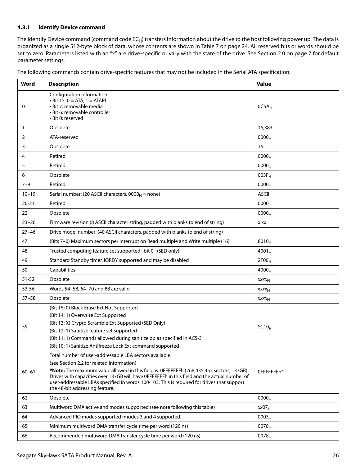#### <span id="page-26-0"></span>**4.3.1 Identify Device command**

The Identify Device command (command code  $EC_H$ ) transfers information about the drive to the host following power up. The data is organized as a single 512-byte block of data, whose contents are shown in [Table 7](#page-24-1) on [page 24.](#page-24-1) All reserved bits or words should be set to zero. Parameters listed with an "x" are drive-specific or vary with the state of the drive. [See Section 2.0 on page 7](#page-7-0) for default parameter settings.

| Word         | <b>Description</b>                                                                                                                                                                                                                                                                                                                                                                                                                | <b>Value</b>      |
|--------------|-----------------------------------------------------------------------------------------------------------------------------------------------------------------------------------------------------------------------------------------------------------------------------------------------------------------------------------------------------------------------------------------------------------------------------------|-------------------|
| 0            | Configuration information:<br>$\cdot$ Bit 15: 0 = ATA; 1 = ATAPI<br>· Bit 7: removable media<br>· Bit 6: removable controller<br>· Bit 0: reserved                                                                                                                                                                                                                                                                                | $0C5A_H$          |
| $\mathbf{1}$ | Obsolete                                                                                                                                                                                                                                                                                                                                                                                                                          | 16,383            |
| 2            | ATA-reserved                                                                                                                                                                                                                                                                                                                                                                                                                      | 0000 <sub>H</sub> |
| 3            | Obsolete                                                                                                                                                                                                                                                                                                                                                                                                                          | 16                |
| 4            | Retired                                                                                                                                                                                                                                                                                                                                                                                                                           | 0000 <sub>H</sub> |
| 5            | Retired                                                                                                                                                                                                                                                                                                                                                                                                                           | 0000 <sub>H</sub> |
| 6            | Obsolete                                                                                                                                                                                                                                                                                                                                                                                                                          | $003F_H$          |
| $7 - 9$      | Retired                                                                                                                                                                                                                                                                                                                                                                                                                           | 0000 <sub>H</sub> |
| $10 - 19$    | Serial number: (20 ASCII characters, $0000_H$ = none)                                                                                                                                                                                                                                                                                                                                                                             | <b>ASCII</b>      |
| $20 - 21$    | Retired                                                                                                                                                                                                                                                                                                                                                                                                                           | 0000 <sub>H</sub> |
| 22           | Obsolete                                                                                                                                                                                                                                                                                                                                                                                                                          | 0000 <sub>H</sub> |
| $23 - 26$    | Firmware revision (8 ASCII character string, padded with blanks to end of string)                                                                                                                                                                                                                                                                                                                                                 | X.XX              |
| $27 - 46$    | Drive model number: (40 ASCII characters, padded with blanks to end of string)                                                                                                                                                                                                                                                                                                                                                    |                   |
| 47           | (Bits 7-0) Maximum sectors per interrupt on Read multiple and Write multiple (16)                                                                                                                                                                                                                                                                                                                                                 | $8010_H$          |
| 48           | Trusted computing feature set supported bit 0 (SED only)                                                                                                                                                                                                                                                                                                                                                                          | $4001_H$          |
| 49           | Standard Standby timer, IORDY supported and may be disabled                                                                                                                                                                                                                                                                                                                                                                       | 2F00 <sub>H</sub> |
| 50           | Capabilities                                                                                                                                                                                                                                                                                                                                                                                                                      | $4000_H$          |
| $51 - 52$    | Obsolete                                                                                                                                                                                                                                                                                                                                                                                                                          | XXXH              |
| 53-56        | Words 54-58, 64-70 and 88 are valid                                                                                                                                                                                                                                                                                                                                                                                               | XXXH              |
| $57 - 58$    | Obsolete                                                                                                                                                                                                                                                                                                                                                                                                                          | XXXH              |
| 59           | (Bit 15: 0) Block Erase Ext Not Supported<br>(Bit 14: 1) Overwrite Ext Supported<br>(Bit 13: X) Crypto Scramble Ext Supported (SED Only)<br>(Bit 12: 1) Sanitize feature set supported<br>(Bit 11: 1) Commands allowed during sanitize op as specified in ACS-3<br>(Bit 10: 1) Sanitize Antifreeze Lock Ext command supported                                                                                                     | SC10 <sub>H</sub> |
| $60 - 61$    | Total number of user-addressable LBA sectors available<br>(see Section 2.2 for related information)<br>*Note: The maximum value allowed in this field is: 0FFFFFFFh (268,435,455 sectors, 137GB).<br>Drives with capacities over 137GB will have OFFFFFFFh in this field and the actual number of<br>user-addressable LBAs specified in words 100-103. This is required for drives that support<br>the 48-bit addressing feature. | OFFFFFFFh*        |
| 62           | Obsolete                                                                                                                                                                                                                                                                                                                                                                                                                          | 0000 <sub>H</sub> |
| 63           | Multiword DMA active and modes supported (see note following this table)                                                                                                                                                                                                                                                                                                                                                          | xx07 <sub>H</sub> |
| 64           | Advanced PIO modes supported (modes 3 and 4 supported)                                                                                                                                                                                                                                                                                                                                                                            | 0003 <sub>H</sub> |
| 65           | Minimum multiword DMA transfer cycle time per word (120 ns)                                                                                                                                                                                                                                                                                                                                                                       | $0078_H$          |
| 66           | Recommended multiword DMA transfer cycle time per word (120 ns)                                                                                                                                                                                                                                                                                                                                                                   | $0078_H$          |

The following commands contain drive-specific features that may not be included in the Serial ATA specification.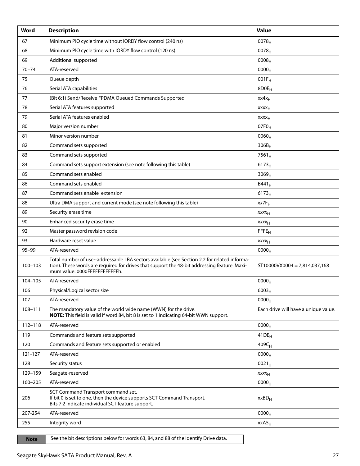| Word        | <b>Description</b>                                                                                                                                                                                                             | <b>Value</b>                         |
|-------------|--------------------------------------------------------------------------------------------------------------------------------------------------------------------------------------------------------------------------------|--------------------------------------|
| 67          | Minimum PIO cycle time without IORDY flow control (240 ns)                                                                                                                                                                     | $0078_{H}$                           |
| 68          | Minimum PIO cycle time with IORDY flow control (120 ns)                                                                                                                                                                        | $0078_H$                             |
| 69          | Additional supported                                                                                                                                                                                                           | $0008_{H}$                           |
| $70 - 74$   | ATA-reserved                                                                                                                                                                                                                   | 0000 <sub>H</sub>                    |
| 75          | Queue depth                                                                                                                                                                                                                    | $001F_H$                             |
| 76          | Serial ATA capabilities                                                                                                                                                                                                        | 8D0E <sub>H</sub>                    |
| 77          | (Bit 6:1) Send/Receive FPDMA Queued Commands Supported                                                                                                                                                                         | xx4x <sub>H</sub>                    |
| 78          | Serial ATA features supported                                                                                                                                                                                                  | <b>XXXX<sub>H</sub></b>              |
| 79          | Serial ATA features enabled                                                                                                                                                                                                    | <b>XXXX<sub>H</sub></b>              |
| 80          | Major version number                                                                                                                                                                                                           | $07F0_H$                             |
| 81          | Minor version number                                                                                                                                                                                                           | $0060_H$                             |
| 82          | Command sets supported                                                                                                                                                                                                         | $306B_H$                             |
| 83          | Command sets supported                                                                                                                                                                                                         | $7561_H$                             |
| 84          | Command sets support extension (see note following this table)                                                                                                                                                                 | $6173_H$                             |
| 85          | Command sets enabled                                                                                                                                                                                                           | 3069 <sub>H</sub>                    |
| 86          | Command sets enabled                                                                                                                                                                                                           | $B441_H$                             |
| 87          | Command sets enable extension                                                                                                                                                                                                  | $6173_H$                             |
| 88          | Ultra DMA support and current mode (see note following this table)                                                                                                                                                             | $xx7F_H$                             |
| 89          | Security erase time                                                                                                                                                                                                            | XXXH                                 |
| 90          | Enhanced security erase time                                                                                                                                                                                                   | XXXH                                 |
| 92          | Master password revision code                                                                                                                                                                                                  | FFFE <sub>H</sub>                    |
| 93          | Hardware reset value                                                                                                                                                                                                           | XXXH                                 |
| $95 - 99$   | ATA-reserved                                                                                                                                                                                                                   | 0000 <sub>H</sub>                    |
| $100 - 103$ | Total number of user-addressable LBA sectors available (see Section 2.2 for related informa-<br>tion). These words are required for drives that support the 48-bit addressing feature. Maxi-<br>mum value: 0000FFFFFFFFFFFFFh. | $ST10000VX0004 = 7,814,037,168$      |
| 104-105     | ATA-reserved                                                                                                                                                                                                                   | 0000 <sub>H</sub>                    |
| 106         | Physical/Logical sector size                                                                                                                                                                                                   | 6003 <sub>H</sub>                    |
| 107         | ATA-reserved                                                                                                                                                                                                                   | 0000 <sub>H</sub>                    |
| 108-111     | The mandatory value of the world wide name (WWN) for the drive.<br>NOTE: This field is valid if word 84, bit 8 is set to 1 indicating 64-bit WWN support.                                                                      | Each drive will have a unique value. |
| $112 - 118$ | ATA-reserved                                                                                                                                                                                                                   | 0000 <sub>H</sub>                    |
| 119         | Commands and feature sets supported                                                                                                                                                                                            | $41DE_H$                             |
| 120         | Commands and feature sets supported or enabled                                                                                                                                                                                 | $409C_H$                             |
| 121-127     | ATA-reserved                                                                                                                                                                                                                   | 0000 <sub>H</sub>                    |
| 128         | Security status                                                                                                                                                                                                                | $0021_H$                             |
| 129-159     | Seagate-reserved                                                                                                                                                                                                               | <b>XXXX<sub>H</sub></b>              |
| $160 - 205$ | ATA-reserved                                                                                                                                                                                                                   | 0000 <sub>H</sub>                    |
| 206         | SCT Command Transport command set.<br>If bit 0 is set to one, then the device supports SCT Command Transport.<br>Bits 7:2 indicate individual SCT feature support.                                                             | $xxBD_H$                             |
| 207-254     | ATA-reserved                                                                                                                                                                                                                   | 0000 <sub>H</sub>                    |
| 255         | Integrity word                                                                                                                                                                                                                 | xxA5 <sub>H</sub>                    |

Note See the bit descriptions below for words 63, 84, and 88 of the Identify Drive data.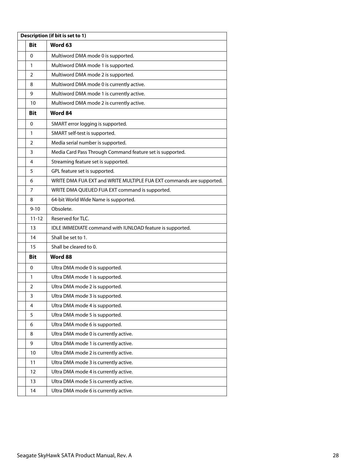| Description (if bit is set to 1) |                                                                      |  |  |  |
|----------------------------------|----------------------------------------------------------------------|--|--|--|
| Bit                              | Word 63                                                              |  |  |  |
| 0                                | Multiword DMA mode 0 is supported.                                   |  |  |  |
| 1                                | Multiword DMA mode 1 is supported.                                   |  |  |  |
| 2                                | Multiword DMA mode 2 is supported.                                   |  |  |  |
| 8                                | Multiword DMA mode 0 is currently active.                            |  |  |  |
| 9                                | Multiword DMA mode 1 is currently active.                            |  |  |  |
| 10                               | Multiword DMA mode 2 is currently active.                            |  |  |  |
| Bit                              | Word 84                                                              |  |  |  |
| 0                                | SMART error logging is supported.                                    |  |  |  |
| 1                                | SMART self-test is supported.                                        |  |  |  |
| 2                                | Media serial number is supported.                                    |  |  |  |
| 3                                | Media Card Pass Through Command feature set is supported.            |  |  |  |
| 4                                | Streaming feature set is supported.                                  |  |  |  |
| 5                                | GPL feature set is supported.                                        |  |  |  |
| 6                                | WRITE DMA FUA EXT and WRITE MULTIPLE FUA EXT commands are supported. |  |  |  |
| 7                                | WRITE DMA QUEUED FUA EXT command is supported.                       |  |  |  |
| 8                                | 64-bit World Wide Name is supported.                                 |  |  |  |
| $9 - 10$                         | Obsolete.                                                            |  |  |  |
| $11 - 12$                        | Reserved for TLC.                                                    |  |  |  |
| 13                               | IDLE IMMEDIATE command with IUNLOAD feature is supported.            |  |  |  |
| 14                               | Shall be set to 1.                                                   |  |  |  |
| 15                               | Shall be cleared to 0.                                               |  |  |  |
| Bit                              | Word 88                                                              |  |  |  |
| 0                                | Ultra DMA mode 0 is supported.                                       |  |  |  |
| 1                                | Ultra DMA mode 1 is supported.                                       |  |  |  |
| 2                                | Ultra DMA mode 2 is supported.                                       |  |  |  |
| 3                                | Ultra DMA mode 3 is supported.                                       |  |  |  |
| 4                                | Ultra DMA mode 4 is supported.                                       |  |  |  |
| 5                                | Ultra DMA mode 5 is supported.                                       |  |  |  |
| 6                                | Ultra DMA mode 6 is supported.                                       |  |  |  |
| 8                                | Ultra DMA mode 0 is currently active.                                |  |  |  |
| 9                                | Ultra DMA mode 1 is currently active.                                |  |  |  |
| 10                               | Ultra DMA mode 2 is currently active.                                |  |  |  |
| 11                               | Ultra DMA mode 3 is currently active.                                |  |  |  |
| 12                               | Ultra DMA mode 4 is currently active.                                |  |  |  |
| 13                               | Ultra DMA mode 5 is currently active.                                |  |  |  |
| 14                               | Ultra DMA mode 6 is currently active.                                |  |  |  |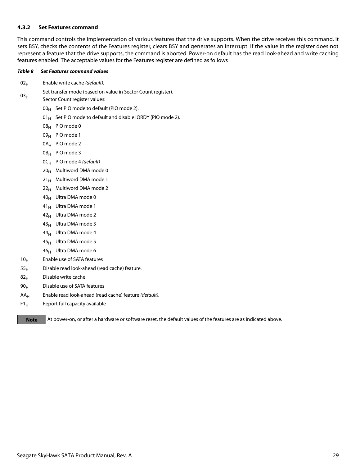#### <span id="page-29-0"></span>**4.3.2 Set Features command**

This command controls the implementation of various features that the drive supports. When the drive receives this command, it sets BSY, checks the contents of the Features register, clears BSY and generates an interrupt. If the value in the register does not represent a feature that the drive supports, the command is aborted. Power-on default has the read look-ahead and write caching features enabled. The acceptable values for the Features register are defined as follows

#### *Table 8 Set Features command values*

- $02_H$  Enable write cache (default).
- $03<sub>H</sub>$ Set transfer mode (based on value in Sector Count register).
- Sector Count register values:
	- $00_H$  Set PIO mode to default (PIO mode 2).
	- 01 $_{\rm H}$  Set PIO mode to default and disable IORDY (PIO mode 2).
	- 08H PIO mode 0
	- 09<sub>H</sub> PIO mode 1
	- 0A<sub>H</sub> PIO mode 2
	- 0B<sub>H</sub> PIO mode 3
	- $OC_H$  PIO mode 4 (default)
	- $20_H$  Multiword DMA mode 0
	- $21_H$  Multiword DMA mode 1
	- 22<sub>H</sub> Multiword DMA mode 2
	- 40H Ultra DMA mode 0
	- $41_H$  Ultra DMA mode 1
	- 42<sub>H</sub> Ultra DMA mode 2
	- 43<sub>H</sub> Ultra DMA mode 3
	- 44<sub>H</sub> Ultra DMA mode 4
	- $45<sub>H</sub>$  Ultra DMA mode 5
	- $46_H$  Ultra DMA mode 6
- 10<sub>H</sub> Enable use of SATA features
- $55<sub>H</sub>$  Disable read look-ahead (read cache) feature.
- 82<sub>H</sub> Disable write cache
- $90<sub>H</sub>$  Disable use of SATA features
- $AA_H$  Enable read look-ahead (read cache) feature (*default*).
- $F1_H$  Report full capacity available

**Note** At power-on, or after a hardware or software reset, the default values of the features are as indicated above.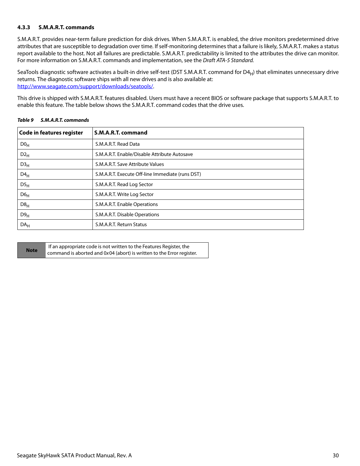#### <span id="page-30-0"></span>**4.3.3 S.M.A.R.T. commands**

S.M.A.R.T. provides near-term failure prediction for disk drives. When S.M.A.R.T. is enabled, the drive monitors predetermined drive attributes that are susceptible to degradation over time. If self-monitoring determines that a failure is likely, S.M.A.R.T. makes a status report available to the host. Not all failures are predictable. S.M.A.R.T. predictability is limited to the attributes the drive can monitor. For more information on S.M.A.R.T. commands and implementation, see the Draft ATA-5 Standard.

SeaTools diagnostic software activates a built-in drive self-test (DST S.M.A.R.T. command for  $D4_H$ ) that eliminates unnecessary drive returns. The diagnostic software ships with all new drives and is also available at: [http://www.seagate.com/support/downloads/seatools/](http://www.seagate.com/support/downloads/seatools/ ).

This drive is shipped with S.M.A.R.T. features disabled. Users must have a recent BIOS or software package that supports S.M.A.R.T. to enable this feature. The table below shows the S.M.A.R.T. command codes that the drive uses.

| Code in features register | S.M.A.R.T. command                               |
|---------------------------|--------------------------------------------------|
| D0 <sub>H</sub>           | S.M.A.R.T. Read Data                             |
| $D2_H$                    | S.M.A.R.T. Enable/Disable Attribute Autosave     |
| D3 <sub>H</sub>           | S.M.A.R.T. Save Attribute Values                 |
| $D4_H$                    | S.M.A.R.T. Execute Off-line Immediate (runs DST) |
| $DS_{H}$                  | S.M.A.R.T. Read Log Sector                       |
| D6 <sub>H</sub>           | S.M.A.R.T. Write Log Sector                      |
| D8 <sub>H</sub>           | S.M.A.R.T. Enable Operations                     |
| D9 <sub>H</sub>           | S.M.A.R.T. Disable Operations                    |
| DA <sub>H</sub>           | S.M.A.R.T. Return Status                         |

#### *Table 9 S.M.A.R.T. commands*

| <b>Note</b> | If an appropriate code is not written to the Features Register, the   |
|-------------|-----------------------------------------------------------------------|
|             | command is aborted and 0x04 (abort) is written to the Error register. |